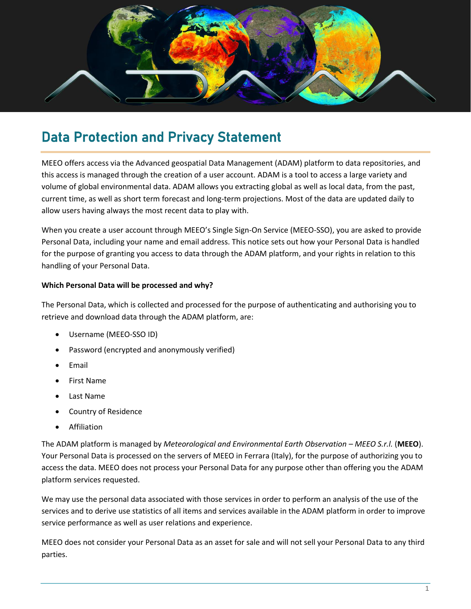

## Data Protection and Privacy Statement

MEEO offers access via the Advanced geospatial Data Management (ADAM) platform to data repositories, and this access is managed through the creation of a user account. ADAM is a tool to access a large variety and volume of global environmental data. ADAM allows you extracting global as well as local data, from the past, current time, as well as short term forecast and long-term projections. Most of the data are updated daily to allow users having always the most recent data to play with.

When you create a user account through MEEO's Single Sign-On Service (MEEO-SSO), you are asked to provide Personal Data, including your name and email address. This notice sets out how your Personal Data is handled for the purpose of granting you access to data through the ADAM platform, and your rights in relation to this handling of your Personal Data.

## **Which Personal Data will be processed and why?**

The Personal Data, which is collected and processed for the purpose of authenticating and authorising you to retrieve and download data through the ADAM platform, are:

- Username (MEEO-SSO ID)
- Password (encrypted and anonymously verified)
- Email
- First Name
- Last Name
- Country of Residence
- Affiliation

The ADAM platform is managed by *Meteorological and Environmental Earth Observation – MEEO S.r.l.* (**MEEO**). Your Personal Data is processed on the servers of MEEO in Ferrara (Italy), for the purpose of authorizing you to access the data. MEEO does not process your Personal Data for any purpose other than offering you the ADAM platform services requested.

We may use the personal data associated with those services in order to perform an analysis of the use of the services and to derive use statistics of all items and services available in the ADAM platform in order to improve service performance as well as user relations and experience.

MEEO does not consider your Personal Data as an asset for sale and will not sell your Personal Data to any third parties.